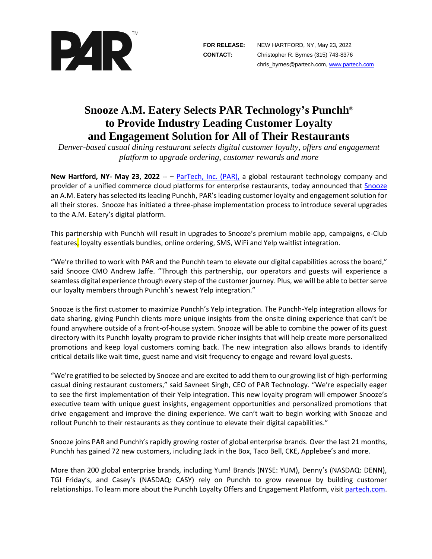

## **Snooze A.M. Eatery Selects PAR Technology's Punchh**® **to Provide Industry Leading Customer Loyalty and Engagement Solution for All of Their Restaurants**

*Denver-based casual dining restaurant selects digital customer loyalty, offers and engagement platform to upgrade ordering, customer rewards and more* 

**New Hartford, NY- May 23, 2022** -- – [ParTech, Inc. \(PAR\),](https://www.partech.com/) a global restaurant technology company and provider of a unified commerce cloud platforms for enterprise restaurants, today announced that [Snooze](https://www.snoozeeatery.com/) an A.M. Eatery has selected its leading Punchh, PAR's leading customer loyalty and engagement solution for all their stores. Snooze has initiated a three-phase implementation process to introduce several upgrades to the A.M. Eatery's digital platform.

This partnership with Punchh will result in upgrades to Snooze's premium mobile app, campaigns, e-Club features, loyalty essentials bundles, online ordering, SMS, WiFi and Yelp waitlist integration.

"We're thrilled to work with PAR and the Punchh team to elevate our digital capabilities across the board," said Snooze CMO Andrew Jaffe. "Through this partnership, our operators and guests will experience a seamless digital experience through every step of the customer journey. Plus, we will be able to better serve our loyalty members through Punchh's newest Yelp integration."

Snooze is the first customer to maximize Punchh's Yelp integration. The Punchh-Yelp integration allows for data sharing, giving Punchh clients more unique insights from the onsite dining experience that can't be found anywhere outside of a front-of-house system. Snooze will be able to combine the power of its guest directory with its Punchh loyalty program to provide richer insights that will help create more personalized promotions and keep loyal customers coming back. The new integration also allows brands to identify critical details like wait time, guest name and visit frequency to engage and reward loyal guests.

"We're gratified to be selected by Snooze and are excited to add them to our growing list of high-performing casual dining restaurant customers," said Savneet Singh, CEO of PAR Technology. "We're especially eager to see the first implementation of their Yelp integration. This new loyalty program will empower Snooze's executive team with unique guest insights, engagement opportunities and personalized promotions that drive engagement and improve the dining experience. We can't wait to begin working with Snooze and rollout Punchh to their restaurants as they continue to elevate their digital capabilities."

Snooze joins PAR and Punchh's rapidly growing roster of global enterprise brands. Over the last 21 months, Punchh has gained 72 new customers, including Jack in the Box, Taco Bell, CKE, Applebee's and more.

More than 200 global enterprise brands, including Yum! Brands (NYSE: YUM), Denny's (NASDAQ: DENN), TGI Friday's, and Casey's (NASDAQ: CASY) rely on Punchh to grow revenue by building customer relationships. To learn more about the Punchh Loyalty Offers and Engagement Platform, visit [partech.com.](https://punchh.com/)